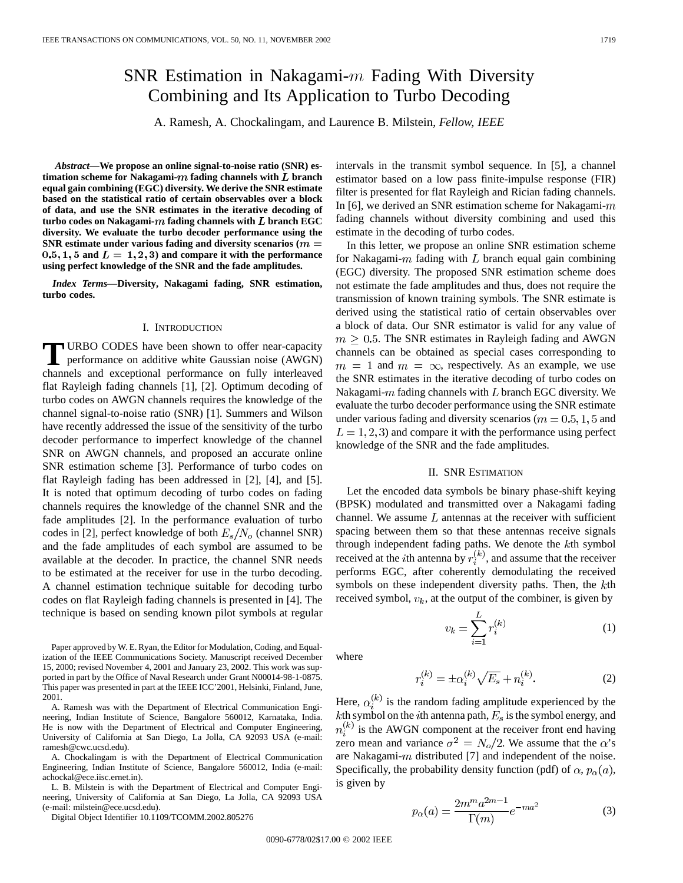# SNR Estimation in Nakagami- $m$  Fading With Diversity Combining and Its Application to Turbo Decoding

A. Ramesh, A. Chockalingam, and Laurence B. Milstein*, Fellow, IEEE*

*Abstract—***We propose an online signal-to-noise ratio (SNR) estimation scheme for Nakagami-** $m$  fading channels with  $L$  branch **equal gain combining (EGC) diversity. We derive the SNR estimate based on the statistical ratio of certain observables over a block of data, and use the SNR estimates in the iterative decoding of turbo codes on Nakagami-** $m$  fading channels with  $L$  branch EGC **diversity. We evaluate the turbo decoder performance using the SNR estimate under various fading and diversity scenarios (** $m =$  $0.5, 1, 5$  and  $L = 1, 2, 3$  and compare it with the performance **using perfect knowledge of the SNR and the fade amplitudes.**

*Index Terms—***Diversity, Nakagami fading, SNR estimation, turbo codes.**

#### I. INTRODUCTION

**T** URBO CODES have been shown to offer near-capacity performance on additive white Gaussian noise (AWGN) channels and exceptional performance on fully interleaved flat Rayleigh fading channels [1], [2]. Optimum decoding of turbo codes on AWGN channels requires the knowledge of the channel signal-to-noise ratio (SNR) [1]. Summers and Wilson have recently addressed the issue of the sensitivity of the turbo decoder performance to imperfect knowledge of the channel SNR on AWGN channels, and proposed an accurate online SNR estimation scheme [3]. Performance of turbo codes on flat Rayleigh fading has been addressed in [2], [4], and [5]. It is noted that optimum decoding of turbo codes on fading channels requires the knowledge of the channel SNR and the fade amplitudes [2]. In the performance evaluation of turbo codes in [2], perfect knowledge of both  $E_s/N_o$  (channel SNR) and the fade amplitudes of each symbol are assumed to be available at the decoder. In practice, the channel SNR needs to be estimated at the receiver for use in the turbo decoding. A channel estimation technique suitable for decoding turbo codes on flat Rayleigh fading channels is presented in [4]. The technique is based on sending known pilot symbols at regular

Paper approved by W. E. Ryan, the Editor for Modulation, Coding, and Equalization of the IEEE Communications Society. Manuscript received December 15, 2000; revised November 4, 2001 and January 23, 2002. This work was supported in part by the Office of Naval Research under Grant N00014-98-1-0875. This paper was presented in part at the IEEE ICC'2001, Helsinki, Finland, June, 2001.

A. Ramesh was with the Department of Electrical Communication Engineering, Indian Institute of Science, Bangalore 560012, Karnataka, India. He is now with the Department of Electrical and Computer Engineering, University of California at San Diego, La Jolla, CA 92093 USA (e-mail: ramesh@cwc.ucsd.edu).

A. Chockalingam is with the Department of Electrical Communication Engineering, Indian Institute of Science, Bangalore 560012, India (e-mail: achockal@ece.iisc.ernet.in).

L. B. Milstein is with the Department of Electrical and Computer Engineering, University of California at San Diego, La Jolla, CA 92093 USA (e-mail: milstein@ece.ucsd.edu).

Digital Object Identifier 10.1109/TCOMM.2002.805276

intervals in the transmit symbol sequence. In [5], a channel estimator based on a low pass finite-impulse response (FIR) filter is presented for flat Rayleigh and Rician fading channels. In [6], we derived an SNR estimation scheme for Nakagami- $m$ fading channels without diversity combining and used this estimate in the decoding of turbo codes.

In this letter, we propose an online SNR estimation scheme for Nakagami- $m$  fading with  $L$  branch equal gain combining (EGC) diversity. The proposed SNR estimation scheme does not estimate the fade amplitudes and thus, does not require the transmission of known training symbols. The SNR estimate is derived using the statistical ratio of certain observables over a block of data. Our SNR estimator is valid for any value of  $m > 0.5$ . The SNR estimates in Rayleigh fading and AWGN channels can be obtained as special cases corresponding to  $m = 1$  and  $m = \infty$ , respectively. As an example, we use the SNR estimates in the iterative decoding of turbo codes on Nakagami- $m$  fading channels with  $L$  branch EGC diversity. We evaluate the turbo decoder performance using the SNR estimate under various fading and diversity scenarios ( $m = 0.5, 1, 5$  and  $L = 1, 2, 3$  and compare it with the performance using perfect knowledge of the SNR and the fade amplitudes.

## II. SNR ESTIMATION

Let the encoded data symbols be binary phase-shift keying (BPSK) modulated and transmitted over a Nakagami fading channel. We assume  $L$  antennas at the receiver with sufficient spacing between them so that these antennas receive signals through independent fading paths. We denote the  $k$ th symbol received at the *i*th antenna by  $r_i^{(k)}$ , and assume that the receiver performs EGC, after coherently demodulating the received symbols on these independent diversity paths. Then, the  $k$ th received symbol,  $v_k$ , at the output of the combiner, is given by

$$
v_k = \sum_{i=1}^{L} r_i^{(k)} \tag{1}
$$

where

$$
r_i^{(k)} = \pm \alpha_i^{(k)} \sqrt{E_s} + n_i^{(k)}.
$$
 (2)

Here,  $\alpha_i^{(k)}$  is the random fading amplitude experienced by the kth symbol on the *i*th antenna path,  $E_s$  is the symbol energy, and  $n_i^{(k)}$  is the AWGN component at the receiver front end having zero mean and variance  $\sigma^2 = N_o/2$ . We assume that the  $\alpha$ 's are Nakagami- $m$  distributed [7] and independent of the noise. Specifically, the probability density function (pdf) of  $\alpha$ ,  $p_{\alpha}(a)$ , is given by

$$
p_{\alpha}(a) = \frac{2m^m a^{2m-1}}{\Gamma(m)} e^{-ma^2}
$$
 (3)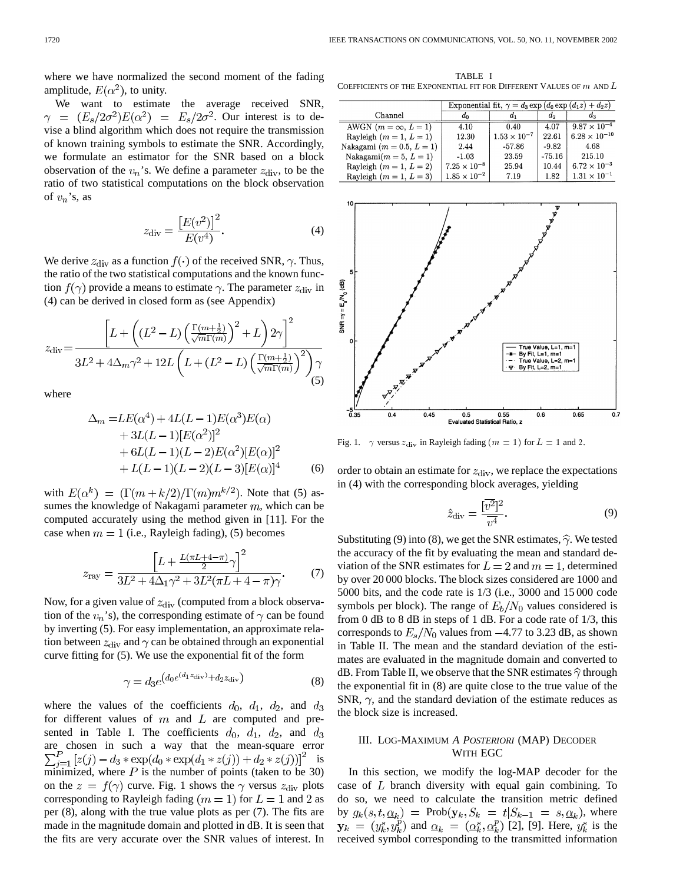where we have normalized the second moment of the fading amplitude,  $E(\alpha^2)$ , to unity.

We want to estimate the average received SNR,  $\gamma = (E_s/2\sigma^2)E(\alpha^2) = E_s/2\sigma^2$ . Our interest is to devise a blind algorithm which does not require the transmission of known training symbols to estimate the SNR. Accordingly, we formulate an estimator for the SNR based on a block observation of the  $v_n$ 's. We define a parameter  $z_{div}$ , to be the ratio of two statistical computations on the block observation of  $v_n$ 's, as

$$
z_{\rm div} = \frac{[E(v^2)]^2}{E(v^4)}.
$$
 (4)

We derive  $z_{\text{div}}$  as a function  $f(\cdot)$  of the received SNR,  $\gamma$ . Thus, the ratio of the two statistical computations and the known function  $f(\gamma)$  provide a means to estimate  $\gamma$ . The parameter  $z_{\text{div}}$  in (4) can be derived in closed form as (see Appendix)

$$
z_{\rm div} = \frac{\left[L + \left((L^2 - L)\left(\frac{\Gamma(m + \frac{1}{2})}{\sqrt{m}\Gamma(m)}\right)^2 + L\right)2\gamma\right]^2}{3L^2 + 4\Delta_m\gamma^2 + 12L\left(L + (L^2 - L)\left(\frac{\Gamma(m + \frac{1}{2})}{\sqrt{m}\Gamma(m)}\right)^2\right)\gamma}
$$
\n(5)

where

$$
\Delta_m = LE(\alpha^4) + 4L(L - 1)E(\alpha^3)E(\alpha) \n+ 3L(L - 1)[E(\alpha^2)]^2 \n+ 6L(L - 1)(L - 2)E(\alpha^2)[E(\alpha)]^2 \n+ L(L - 1)(L - 2)(L - 3)[E(\alpha)]^4
$$
\n(6)

with  $E(\alpha^k) = (\Gamma(m+k/2)/\Gamma(m)m^{k/2})$ . Note that (5) assumes the knowledge of Nakagami parameter  $m$ , which can be computed accurately using the method given in [11]. For the case when  $m = 1$  (i.e., Rayleigh fading), (5) becomes

$$
z_{\text{ray}} = \frac{\left[L + \frac{L(\pi L + 4 - \pi)}{2}\gamma\right]^2}{3L^2 + 4\Delta_1\gamma^2 + 3L^2(\pi L + 4 - \pi)\gamma}.\tag{7}
$$

Now, for a given value of  $z_{\text{div}}$  (computed from a block observation of the  $v_n$ 's), the corresponding estimate of  $\gamma$  can be found by inverting (5). For easy implementation, an approximate relation between  $z_{\text{div}}$  and  $\gamma$  can be obtained through an exponential curve fitting for (5). We use the exponential fit of the form

$$
\gamma = d_3 e^{\left(d_0 e^{(d_1 z_{\text{div}})} + d_2 z_{\text{div}}\right)} \tag{8}
$$

where the values of the coefficients  $d_0$ ,  $d_1$ ,  $d_2$ , and  $d_3$ for different values of  $m$  and  $L$  are computed and presented in Table I. The coefficients  $d_0$ ,  $d_1$ ,  $d_2$ , and  $d_3$ are chosen in such a way that the mean-square error  $\sum_{j=1}^{P} [z(j) - d_3 * \exp(d_0 * \exp(d_1 * z(j)) + d_2 * z(j))]^2$  is minimized, where  $P$  is the number of points (taken to be 30) on the  $z = f(\gamma)$  curve. Fig. 1 shows the  $\gamma$  versus  $z_{\text{div}}$  plots corresponding to Rayleigh fading  $(m = 1)$  for  $L = 1$  and 2 as per (8), along with the true value plots as per (7). The fits are made in the magnitude domain and plotted in dB. It is seen that the fits are very accurate over the SNR values of interest. In

TABLE I COEFFICIENTS OF THE EXPONENTIAL FIT FOR DIFFERENT VALUES OF  $m$  and  $L$ 

|                               | Exponential fit, $\gamma = d_3 \exp (d_0 \exp (d_1 z) + d_2 z)$ |                       |          |                        |  |  |
|-------------------------------|-----------------------------------------------------------------|-----------------------|----------|------------------------|--|--|
| Channel                       | $a_0$                                                           | a <sub>1</sub>        | d,       | $d_3$                  |  |  |
| AWGN $(m = \infty, L = 1)$    | 4.10                                                            | 0.40                  | 4.07     | $9.87 \times 10^{-4}$  |  |  |
| Rayleigh $(m = 1, L = 1)$     | 12.30                                                           | $1.53 \times 10^{-7}$ | 22.61    | $6.28 \times 10^{-10}$ |  |  |
| Nakagami ( $m = 0.5, L = 1$ ) | 2.44                                                            | $-57.86$              | $-9.82$  | 4.68                   |  |  |
| Nakagami $(m = 5, L = 1)$     | $-1.03$                                                         | 23.59                 | $-75.16$ | 215.10                 |  |  |
| Rayleigh $(m = 1, L = 2)$     | $7.25 \times 10^{-8}$                                           | 25.94                 | 10.44    | $6.72 \times 10^{-3}$  |  |  |
| Rayleigh $(m = 1, L = 3)$     | $1.85 \times 10^{-2}$                                           | 7.19                  | 1.82     | $1.31 \times 10^{-1}$  |  |  |



Fig. 1.  $\gamma$  versus  $z_{div}$  in Rayleigh fading  $(m = 1)$  for  $L = 1$  and 2.

order to obtain an estimate for  $z_{\rm div}$ , we replace the expectations in (4) with the corresponding block averages, yielding

$$
\hat{z}_{\rm div} = \frac{[\overline{v^2}]^2}{\overline{v^4}}.
$$
\n(9)

Substituting (9) into (8), we get the SNR estimates,  $\hat{\gamma}$ . We tested the accuracy of the fit by evaluating the mean and standard deviation of the SNR estimates for  $L = 2$  and  $m = 1$ , determined by over 20 000 blocks. The block sizes considered are 1000 and 5000 bits, and the code rate is 1/3 (i.e., 3000 and 15 000 code symbols per block). The range of  $E_b/N_0$  values considered is from 0 dB to 8 dB in steps of 1 dB. For a code rate of 1/3, this corresponds to  $E_s/N_0$  values from  $-4.77$  to 3.23 dB, as shown in Table II. The mean and the standard deviation of the estimates are evaluated in the magnitude domain and converted to dB. From Table II, we observe that the SNR estimates  $\hat{\gamma}$  through the exponential fit in (8) are quite close to the true value of the SNR,  $\gamma$ , and the standard deviation of the estimate reduces as the block size is increased.

# III. LOG-MAXIMUM *A POSTERIORI* (MAP) DECODER WITH EGC

In this section, we modify the log-MAP decoder for the case of  $L$  branch diversity with equal gain combining. To do so, we need to calculate the transition metric defined by  $g_k(s,t, \underline{\alpha}_k)$  = Prob $(\mathbf{y}_k, S_k = t | S_{k-1} = s, \underline{\alpha}_k)$ , where  $\mathbf{y}_k = (y_k^s, y_k^p)$  and  $\underline{\alpha}_k = (\underline{\alpha}_k^s, \underline{\alpha}_k^p)$  [2], [9]. Here,  $y_k^s$  is the received symbol corresponding to the transmitted information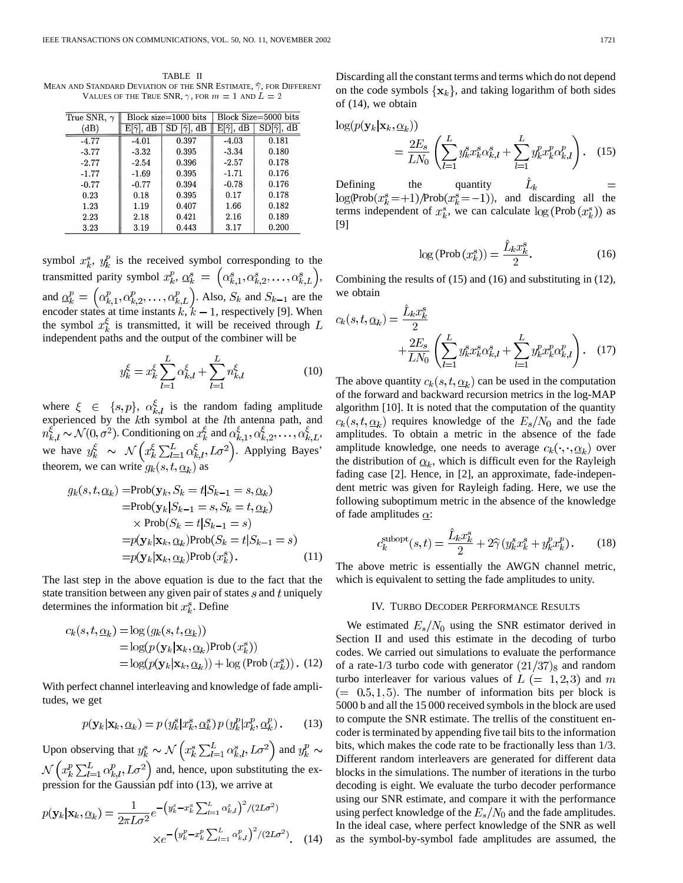TABLE II MEAN AND STANDARD DEVIATION OF THE SNR ESTIMATE,  $\widehat{\gamma}$ , for Different VALUES OF THE TRUE SNR,  $\gamma$ , for  $m = 1$  and  $L = 2$ 

| True SNR, $\gamma$ | Block size=1000 bits  |                         |                             | Block Size=5000 bits   |
|--------------------|-----------------------|-------------------------|-----------------------------|------------------------|
| (dB)               | $E[\hat{\gamma}], dB$ | $SD [\hat{\gamma}], dB$ | E[ $\widehat{\gamma}$ ], dB | $SD[\hat{\gamma}], dB$ |
| $-4.77$            | $-4.01$               | 0.397                   | $-4.03$                     | 0.181                  |
| $-3.77$            | $-3.32$               | 0.395                   | $-3.34$                     | 0.180                  |
| $-2.77$            | $-2.54$               | 0.396                   | $-2.57$                     | 0.178                  |
| $-1.77$            | $-1.69$               | 0.395                   | $-1.71$                     | 0.176                  |
| $-0.77$            | $-0.77$               | 0.394                   | $-0.78$                     | 0.176                  |
| 0.23               | 0.18                  | 0.395                   | 0.17                        | 0.178                  |
| 1.23               | 1.19                  | 0.407                   | 1.66                        | 0.182                  |
| 2.23               | 2.18                  | 0.421                   | 2.16                        | 0.189                  |
| 3.23               | 3.19                  | 0.443                   | 3.17                        | 0.200                  |

symbol  $x_k^s$ ,  $y_k^p$  is the received symbol corresponding to the transmitted parity symbol  $x_k^p$ ,  $\underline{\alpha}_k^s = \left(\alpha_{k,1}^s, \alpha_{k,2}^s, \ldots, \alpha_{k,L}^s\right)$ , and  $\underline{\alpha}_k^p = (\alpha_{k,1}^p, \alpha_{k,2}^p, \ldots, \alpha_{k,L}^p)$ . Also,  $S_k$  and  $S_{k-1}$  are the encoder states at time instants  $k, k-1$ , respectively [9]. When the symbol  $x_k^{\xi}$  is transmitted, it will be received through L independent paths and the output of the combiner will be

$$
y_k^{\xi} = x_k^{\xi} \sum_{l=1}^{L} \alpha_{k,l}^{\xi} + \sum_{l=1}^{L} n_{k,l}^{\xi}
$$
 (10)

where  $\xi \in \{s, p\}, \alpha_{k,l}^{\xi}$  is the random fading amplitude experienced by the  $k$ th symbol at the  $l$ th antenna path, and . Conditioning on  $x_k^{\xi}$  and  $\alpha_{k+1}^{\xi}, \alpha_{k+2}^{\xi}, \ldots, \alpha_{k+L}^{\xi}$ , we have  $y_k^{\xi} \sim \mathcal{N}\left(x_k^{\xi} \sum_{l=1}^L \alpha_{k,l}^{\xi}, L\sigma^2\right)$ . Applying Bayes' theorem, we can write  $g_k(s,t,\alpha_k)$  as

$$
g_k(s, t, \underline{\alpha}_k) = \text{Prob}(\mathbf{y}_k, S_k = t | S_{k-1} = s, \underline{\alpha}_k)
$$
  
\n
$$
= \text{Prob}(\mathbf{y}_k | S_{k-1} = s, S_k = t, \underline{\alpha}_k)
$$
  
\n
$$
\times \text{Prob}(S_k = t | S_{k-1} = s)
$$
  
\n
$$
= p(\mathbf{y}_k | \mathbf{x}_k, \underline{\alpha}_k) \text{Prob}(S_k = t | S_{k-1} = s)
$$
  
\n
$$
= p(\mathbf{y}_k | \mathbf{x}_k, \underline{\alpha}_k) \text{Prob}(x_k^s).
$$
 (11)

The last step in the above equation is due to the fact that the state transition between any given pair of states  $s$  and  $t$  uniquely determines the information bit  $x_k^s$ . Define

$$
c_k(s, t, \underline{\alpha}_k) = \log (g_k(s, t, \underline{\alpha}_k))
$$
  
= log(p(**y**<sub>k</sub>|**x**<sub>k</sub>,  $\underline{\alpha}_k$ )**Prob**( $x_k^s$ ))  
= log(p(**y**<sub>k</sub>|**x**<sub>k</sub>,  $\underline{\alpha}_k$ )) + log(Prob( $x_k^s$ )). (12)

With perfect channel interleaving and knowledge of fade amplitudes, we get

$$
p(\mathbf{y}_k|\mathbf{x}_k, \underline{\alpha}_k) = p(y_k^s|x_k^s, \underline{\alpha}_k^s) p(y_k^p|x_k^p, \underline{\alpha}_k^p).
$$
 (13)

Upon observing that  $y_k^s \sim \mathcal{N}\left(x_k^s\sum_{l=1}^L \alpha_{k,l}^s,L\sigma^2\right)$  and  $y_k^p \sim$ and, hence, upon substituting the expression for the Gaussian pdf into (13), we arrive at

$$
p(\mathbf{y}_k|\mathbf{x}_k, \underline{\alpha}_k) = \frac{1}{2\pi L\sigma^2} e^{-\left(y_k^s - x_k^s \sum_{l=1}^L \alpha_{k,l}^s\right)^2 / (2L\sigma^2)}
$$

$$
\times e^{-\left(y_k^p - x_k^p \sum_{l=1}^L \alpha_{k,l}^p\right)^2 / (2L\sigma^2)}.
$$
 (14)

Discarding all the constant terms and terms which do not depend on the code symbols  $\{x_k\}$ , and taking logarithm of both sides of (14), we obtain

$$
\log(p(\mathbf{y}_k|\mathbf{x}_k, \underline{\alpha}_k)) = \frac{2E_s}{LN_0} \left( \sum_{l=1}^L y_k^s x_k^s \alpha_{k,l}^s + \sum_{l=1}^L y_k^p x_k^p \alpha_{k,l}^p \right). \quad (15)
$$

Defining the quantity  $L_k\,$  $\log(\text{Prob}(x_k^s = +1)/\text{Prob}(x_k^s = -1))$ , and discarding all the terms independent of  $x_k^s$ , we can calculate  $\log(\text{Prob}(x_k^s))$  as [9]

$$
\log\left(\text{Prob}\left(x_k^s\right)\right) = \frac{\hat{L}_k x_k^s}{2}.\tag{16}
$$

Combining the results of (15) and (16) and substituting in (12), we obtain

$$
c_k(s, t, \underline{\alpha}_k) = \frac{\tilde{L}_k x_k^s}{2} + \frac{2E_s}{LN_0} \left( \sum_{l=1}^L y_k^s x_k^s \alpha_{k,l}^s + \sum_{l=1}^L y_k^p x_k^p \alpha_{k,l}^p \right). \tag{17}
$$

The above quantity  $c_k(s,t,\underline{\alpha}_k)$  can be used in the computation of the forward and backward recursion metrics in the log-MAP algorithm [10]. It is noted that the computation of the quantity  $r_k(s,t,\underline{\alpha}_k)$  requires knowledge of the  $E_s/N_0$  and the fade amplitudes. To obtain a metric in the absence of the fade amplitude knowledge, one needs to average  $c_k(\cdot, \cdot, \underline{\alpha}_k)$  over the distribution of  $\alpha_k$ , which is difficult even for the Rayleigh fading case [2]. Hence, in [2], an approximate, fade-independent metric was given for Rayleigh fading. Here, we use the following suboptimum metric in the absence of the knowledge of fade amplitudes  $\alpha$ :

$$
c_k^{\text{subopt}}(s,t) = \frac{\hat{L}_k x_k^s}{2} + 2\hat{\gamma} \left( y_k^s x_k^s + y_k^p x_k^p \right). \tag{18}
$$

The above metric is essentially the AWGN channel metric, which is equivalent to setting the fade amplitudes to unity.

# IV. TURBO DECODER PERFORMANCE RESULTS

We estimated  $E_s/N_0$  using the SNR estimator derived in Section II and used this estimate in the decoding of turbo codes. We carried out simulations to evaluate the performance of a rate-1/3 turbo code with generator  $(21/37)_{8}$  and random turbo interleaver for various values of  $L (= 1,2,3)$  and m  $(= 0.5, 1, 5)$ . The number of information bits per block is 5000 b and all the 15 000 received symbols in the block are used to compute the SNR estimate. The trellis of the constituent encoder is terminated by appending five tail bits to the information bits, which makes the code rate to be fractionally less than 1/3. Different random interleavers are generated for different data blocks in the simulations. The number of iterations in the turbo decoding is eight. We evaluate the turbo decoder performance using our SNR estimate, and compare it with the performance using perfect knowledge of the  $E_s/N_0$  and the fade amplitudes. In the ideal case, where perfect knowledge of the SNR as well as the symbol-by-symbol fade amplitudes are assumed, the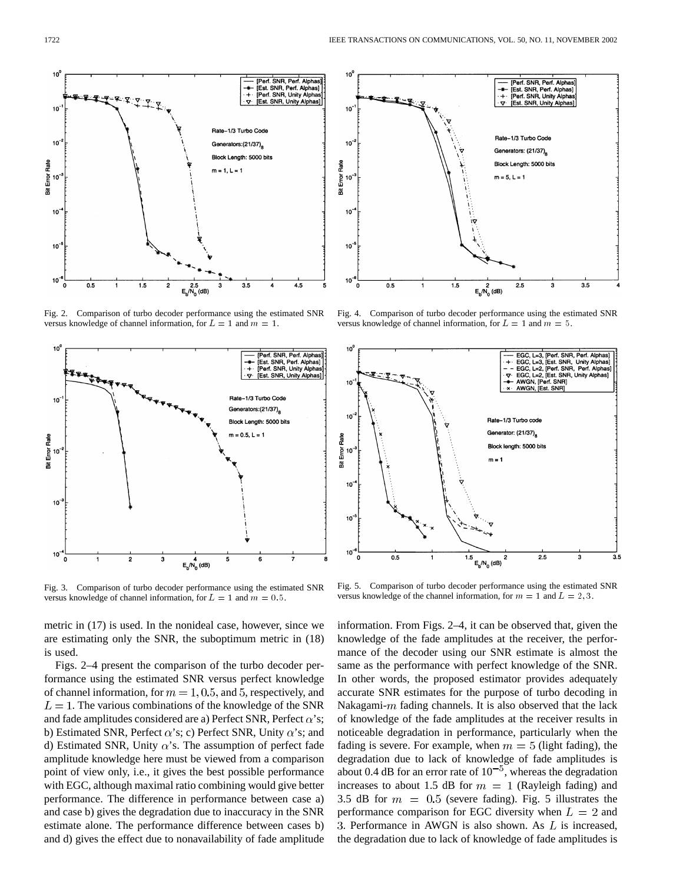

Fig. 2. Comparison of turbo decoder performance using the estimated SNR versus knowledge of channel information, for  $L = 1$  and  $m = 1$ .



Fig. 3. Comparison of turbo decoder performance using the estimated SNR versus knowledge of channel information, for  $L = 1$  and  $m = 0.5$ .

metric in (17) is used. In the nonideal case, however, since we are estimating only the SNR, the suboptimum metric in (18) is used.

Figs. 2–4 present the comparison of the turbo decoder performance using the estimated SNR versus perfect knowledge of channel information, for  $m = 1, 0.5$ , and 5, respectively, and  $L = 1$ . The various combinations of the knowledge of the SNR and fade amplitudes considered are a) Perfect SNR, Perfect  $\alpha$ 's; b) Estimated SNR, Perfect  $\alpha$ 's; c) Perfect SNR, Unity  $\alpha$ 's; and d) Estimated SNR, Unity  $\alpha$ 's. The assumption of perfect fade amplitude knowledge here must be viewed from a comparison point of view only, i.e., it gives the best possible performance with EGC, although maximal ratio combining would give better performance. The difference in performance between case a) and case b) gives the degradation due to inaccuracy in the SNR estimate alone. The performance difference between cases b) and d) gives the effect due to nonavailability of fade amplitude



Fig. 4. Comparison of turbo decoder performance using the estimated SNR versus knowledge of channel information, for  $L = 1$  and  $m = 5$ .



Fig. 5. Comparison of turbo decoder performance using the estimated SNR versus knowledge of the channel information, for  $m = 1$  and  $L = 2, 3$ .

information. From Figs. 2–4, it can be observed that, given the knowledge of the fade amplitudes at the receiver, the performance of the decoder using our SNR estimate is almost the same as the performance with perfect knowledge of the SNR. In other words, the proposed estimator provides adequately accurate SNR estimates for the purpose of turbo decoding in Nakagami- $m$  fading channels. It is also observed that the lack of knowledge of the fade amplitudes at the receiver results in noticeable degradation in performance, particularly when the fading is severe. For example, when  $m = 5$  (light fading), the degradation due to lack of knowledge of fade amplitudes is about 0.4 dB for an error rate of  $10^{-5}$ , whereas the degradation increases to about 1.5 dB for  $m = 1$  (Rayleigh fading) and 3.5 dB for  $m = 0.5$  (severe fading). Fig. 5 illustrates the performance comparison for EGC diversity when  $L = 2$  and 3. Performance in AWGN is also shown. As  $L$  is increased, the degradation due to lack of knowledge of fade amplitudes is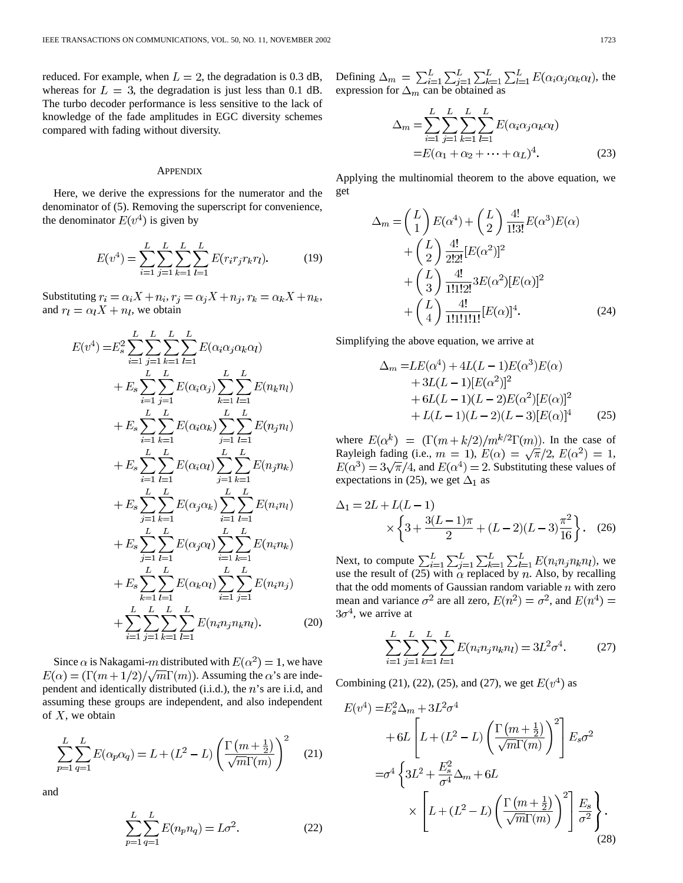reduced. For example, when  $L = 2$ , the degradation is 0.3 dB, whereas for  $L = 3$ , the degradation is just less than 0.1 dB. The turbo decoder performance is less sensitive to the lack of knowledge of the fade amplitudes in EGC diversity schemes compared with fading without diversity.

### **APPENDIX**

Here, we derive the expressions for the numerator and the denominator of (5). Removing the superscript for convenience, the denominator  $E(v^4)$  is given by

$$
E(v^4) = \sum_{i=1}^{L} \sum_{j=1}^{L} \sum_{k=1}^{L} \sum_{l=1}^{L} E(r_i r_j r_k r_l).
$$
 (19)

Substituting  $r_i = \alpha_i X + n_i$ ,  $r_j = \alpha_j X + n_j$ ,  $r_k = \alpha_k X + n_k$ , and  $r_l = \alpha_l X + n_l$ , we obtain

$$
E(v^{4}) = E_{s}^{2} \sum_{i=1}^{L} \sum_{j=1}^{L} \sum_{k=1}^{L} \sum_{l=1}^{L} E(\alpha_{i}\alpha_{j}\alpha_{k}\alpha_{l})
$$
  
+  $E_{s} \sum_{i=1}^{L} \sum_{j=1}^{L} E(\alpha_{i}\alpha_{j}) \sum_{k=1}^{L} \sum_{l=1}^{L} E(n_{k}n_{l})$   
+  $E_{s} \sum_{i=1}^{L} \sum_{k=1}^{L} E(\alpha_{i}\alpha_{k}) \sum_{j=1}^{L} \sum_{l=1}^{L} E(n_{j}n_{l})$   
+  $E_{s} \sum_{i=1}^{L} \sum_{l=1}^{L} E(\alpha_{i}\alpha_{l}) \sum_{j=1}^{L} \sum_{k=1}^{L} E(n_{j}n_{k})$   
+  $E_{s} \sum_{j=1}^{L} \sum_{k=1}^{L} E(\alpha_{j}\alpha_{k}) \sum_{i=1}^{L} \sum_{l=1}^{L} E(n_{i}n_{l})$   
+  $E_{s} \sum_{j=1}^{L} \sum_{l=1}^{L} E(\alpha_{j}\alpha_{l}) \sum_{i=1}^{L} \sum_{k=1}^{L} E(n_{i}n_{k})$   
+  $E_{s} \sum_{j=1}^{L} \sum_{l=1}^{L} E(\alpha_{j}\alpha_{l}) \sum_{i=1}^{L} \sum_{k=1}^{L} E(n_{i}n_{k})$   
+  $E_{s} \sum_{k=1}^{L} \sum_{l=1}^{L} E(\alpha_{k}\alpha_{l}) \sum_{i=1}^{L} \sum_{j=1}^{L} E(n_{i}n_{j})$   
+  $\sum_{i=1}^{L} \sum_{j=1}^{L} \sum_{k=1}^{L} E(n_{i}n_{j}n_{k}n_{l}).$  (20)

Since  $\alpha$  is Nakagami-m distributed with  $E(\alpha^2) = 1$ , we have  $E(\alpha) = (\Gamma(m + 1/2)/\sqrt{m}\Gamma(m))$ . Assuming the  $\alpha$ 's are independent and identically distributed (i.i.d.), the  $n$ 's are i.i.d, and assuming these groups are independent, and also independent of  $X$ , we obtain

$$
\sum_{p=1}^{L} \sum_{q=1}^{L} E(\alpha_p \alpha_q) = L + (L^2 - L) \left( \frac{\Gamma(m + \frac{1}{2})}{\sqrt{m} \Gamma(m)} \right)^2
$$
 (21)

and

$$
\sum_{p=1}^{L} \sum_{q=1}^{L} E(n_p n_q) = L\sigma^2.
$$
 (22)

Defining  $\Delta_m = \sum_{i=1}^L \sum_{i=1}^L \sum_{k=1}^L \sum_{l=1}^L E(\alpha_i \alpha_j \alpha_k \alpha_l)$ , the expression for  $\Delta_m$  can be obtained as

$$
\Delta_m = \sum_{i=1}^{L} \sum_{j=1}^{L} \sum_{k=1}^{L} \sum_{l=1}^{L} E(\alpha_i \alpha_j \alpha_k \alpha_l)
$$
  
=  $E(\alpha_1 + \alpha_2 + \dots + \alpha_L)^4$ . (23)

Applying the multinomial theorem to the above equation, we get

$$
\Delta_m = \left(\frac{L}{1}\right) E(\alpha^4) + \left(\frac{L}{2}\right) \frac{4!}{1!3!} E(\alpha^3) E(\alpha) \n+ \left(\frac{L}{2}\right) \frac{4!}{2!2!} [E(\alpha^2)]^2 \n+ \left(\frac{L}{3}\right) \frac{4!}{1!1!2!} 3E(\alpha^2) [E(\alpha)]^2 \n+ \left(\frac{L}{4}\right) \frac{4!}{1!1!1!1!} [E(\alpha)]^4.
$$
\n(24)

Simplifying the above equation, we arrive at

$$
\Delta_m = LE(\alpha^4) + 4L(L - 1)E(\alpha^3)E(\alpha) \n+ 3L(L - 1)[E(\alpha^2)]^2 \n+ 6L(L - 1)(L - 2)E(\alpha^2)[E(\alpha)]^2 \n+ L(L - 1)(L - 2)(L - 3)[E(\alpha)]^4
$$
\n(25)

where  $E(\alpha^k) = (\Gamma(m+k/2)/m^{k/2}\Gamma(m))$ . In the case of Rayleigh fading (i.e.,  $m = 1$ ),  $E(\alpha) = \sqrt{\pi}/2$ ,  $E(\alpha^2) = 1$ ,  $E(\alpha^3) = 3\sqrt{\pi}/4$ , and  $E(\alpha^4) = 2$ . Substituting these values of expectations in (25), we get  $\Delta_1$  as

$$
\Delta_1 = 2L + L(L - 1) \times \left\{ 3 + \frac{3(L - 1)\pi}{2} + (L - 2)(L - 3)\frac{\pi^2}{16} \right\}.
$$
 (26)

Next, to compute  $\sum_{i=1}^{L} \sum_{i=1}^{L} \sum_{k=1}^{L} \sum_{l=1}^{L} E(n_i n_i n_k n_l)$ , we use the result of (25) with  $\alpha$  replaced by n. Also, by recalling that the odd moments of Gaussian random variable  $n$  with zero mean and variance  $\sigma^2$  are all zero,  $E(n^2) = \sigma^2$ , and  $E(n^4) =$  $3\sigma^4$ , we arrive at

$$
\sum_{i=1}^{L} \sum_{j=1}^{L} \sum_{k=1}^{L} \sum_{l=1}^{L} E(n_i n_j n_k n_l) = 3L^2 \sigma^4.
$$
 (27)

Combining (21), (22), (25), and (27), we get  $E(v^4)$  as

$$
E(v^4) = E_s^2 \Delta_m + 3L^2 \sigma^4
$$
  
+6L  $\left[ L + (L^2 - L) \left( \frac{\Gamma(m + \frac{1}{2})}{\sqrt{m} \Gamma(m)} \right)^2 \right] E_s \sigma^2$   
=  $\sigma^4 \left\{ 3L^2 + \frac{E_s^2}{\sigma^4} \Delta_m + 6L$   
 $\times \left[ L + (L^2 - L) \left( \frac{\Gamma(m + \frac{1}{2})}{\sqrt{m} \Gamma(m)} \right)^2 \right] \frac{E_s}{\sigma^2} \right\}.$  (28)